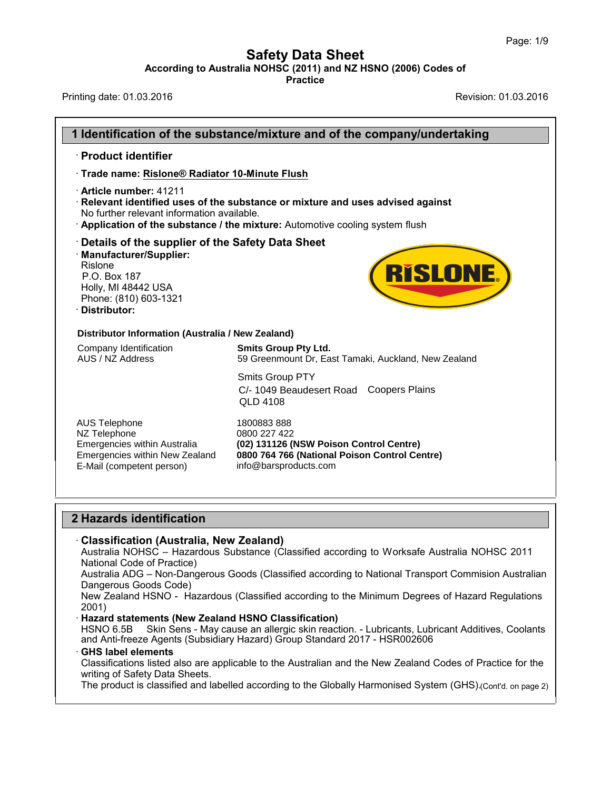## **Safety Data Sheet<br>
A NOHSC (2011) and NZ HSNO (2006) Cod<br>
Practice** Page: 1/9<br>**According to Australia NOHSC (2011) and NZ HSNO (2006) Codes of**<br>Practice<br>Printing date: 01.03.2016<br>Revision: 01.03.2016 Page: 1/9<br> **Safety Data Sheet**<br>
According to Australia NOHSC (2011) and NZ HSNO (2006) Codes of<br>
Printing date: 01.03.2016<br>
Revision: 01.03.2016

|                                                                                                                                                                                       | According to Australia NOHSC (2011) and NZ HSNO (2006) Codes of<br><b>Practice</b>                                                                           |
|---------------------------------------------------------------------------------------------------------------------------------------------------------------------------------------|--------------------------------------------------------------------------------------------------------------------------------------------------------------|
| Printing date: 01.03.2016                                                                                                                                                             | Revision: 01.03.2016                                                                                                                                         |
|                                                                                                                                                                                       |                                                                                                                                                              |
|                                                                                                                                                                                       | 1 Identification of the substance/mixture and of the company/undertaking                                                                                     |
| · Product identifier                                                                                                                                                                  |                                                                                                                                                              |
| Trade name: Rislone® Radiator 10-Minute Flush                                                                                                                                         |                                                                                                                                                              |
| · Article number: 41211<br>No further relevant information available.                                                                                                                 | Relevant identified uses of the substance or mixture and uses advised against<br>Application of the substance / the mixture: Automotive cooling system flush |
| Details of the supplier of the Safety Data Sheet<br>· Manufacturer/Supplier:<br><b>Rislone</b><br>P.O. Box 187<br>Holly, MI 48442 USA<br>Phone: (810) 603-1321<br><b>Distributor:</b> | <b>RISLONE</b>                                                                                                                                               |
| Distributor Information (Australia / New Zealand)                                                                                                                                     |                                                                                                                                                              |
| Company Identification<br>AUS / NZ Address                                                                                                                                            | <b>Smits Group Pty Ltd.</b><br>59 Greenmount Dr, East Tamaki, Auckland, New Zealand                                                                          |
|                                                                                                                                                                                       | Smits Group PTY<br><b>Coopers Plains</b><br>C/- 1049 Beaudesert Road<br><b>QLD 4108</b>                                                                      |
| <b>AUS Telephone</b><br>NZ Telephone<br>Emergencies within Australia<br>Emergencies within New Zealand<br>E-Mail (competent person)                                                   | 1800883888<br>0800 227 422<br>(02) 131126 (NSW Poison Control Centre)<br>0800 764 766 (National Poison Control Centre)<br>info@barsproducts.com              |
| 2 Hazards identification                                                                                                                                                              |                                                                                                                                                              |
| · Classification (Australia, New Zealand)                                                                                                                                             |                                                                                                                                                              |

Australia NOHSC – Hazardous Substance (Classified according to Worksafe Australia NOHSC 2011 National Code of Practice)

Australia ADG – Non-Dangerous Goods (Classified according to National Transport Commision Australian Dangerous Goods Code)

New Zealand HSNO - Hazardous (Classified according to the Minimum Degrees of Hazard Regulations 2001)

### · **Hazard statements (New Zealand HSNO Classification)**

HSNO 6.5B Skin Sens - May cause an allergic skin reaction. - Lubricants, Lubricant Additives, Coolants and Anti-freeze Agents (Subsidiary Hazard) Group Standard 2017 - HSR002606

### · **GHS label elements**

Classifications listed also are applicable to the Australian and the New Zealand Codes of Practice for the writing of Safety Data Sheets.

The product is classified and labelled according to the Globally Harmonised System (GHS).(Cont'd. on page 2)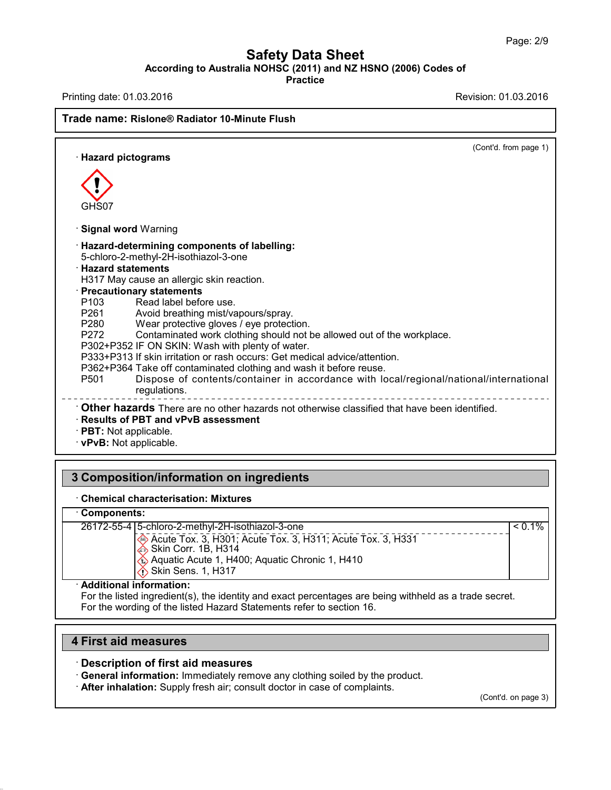## **Safety Data Sheet<br>
A NOHSC (2011) and NZ HSNO (2006) Cod<br>
Practice** Page: 2/9<br>**According to Australia NOHSC (2011) and NZ HSNO (2006) Codes of**<br>Practice<br>Printing date: 01.03.2016<br>Revision: 01.03.2016 Page: 2/9<br> **Safety Data Sheet**<br>
According to Australia NOHSC (2011) and NZ HSNO (2006) Codes of<br>
Practice<br>
Revision: 01.03.2016<br>
Revision: 01.03.2016<br>
Revision: 01.03.2016

**Practice**

### **Trade name:** According to Australia NOHSC (2011) and N.<br>Printing date: 01.03.2016<br>Trade name: Rislone® Radiator 10-Minute Flush (Cont'd. from page 1) ade name: Rislone<sup>®</sup> Radiato<br>· Hazard pictograms GHS07 GHS07<br>Signal word Warning<br>Hazard-determining compone **CHS07**<br> **· Signal word** Warning<br> **· Hazard-determining components of labelling:**<br>
5-chloro-2-methyl-2H-isothiazol-3-one<br> **· Hazard statements** 5-chloro-2-methyl-2H-isothiazol-3-one<br> **Hazard statements Signal word Warning<br>
Hazard-determining compo**<br>
5-chloro-2-methyl-2H-isothiaz<br>
Hazard statements<br>
H317 May cause an allergic s<br>
Precautionary statements **Signal word Warning<br>
Hazard-determining components of labelling:**<br>
5-chloro-2-methyl-2H-isothiazol-3-one<br> **Hazard statements**<br>
H317 May cause an allergic skin reaction.<br> **Precautionary statements**<br>
P103 Read label before Hazard-determining components of labelling:<br>5-chloro-2-methyl-2H-isothiazol-3-one<br>Hazard statements<br>H317 May cause an allergic skin reaction.<br>**Precautionary statements**<br>P103 Read label before use.<br>P261 Avoid breathing mist 5-chloro-2-methyl-2H-isothiazol-3-one<br> **Hazard statements**<br>
H317 May cause an allergic skin reaction.<br> **Precautionary statements**<br>
P103 Read label before use.<br>
P261 Avoid breathing mist/vapours/spray.<br>
P280 Wear protective Hazard statements<br>
H317 May cause an allergic skin reaction.<br> **Precautionary statements**<br>
P103 Read label before use.<br>
P261 Avoid breathing mist/vapours/spray.<br>
P280 Wear protective gloves / eye protection.<br>
P272 Contamina H317 May cause an allergic skin reaction.<br> **Precautionary statements**<br>
P103 Read label before use.<br>
P261 Avoid breathing mist/vapours/spray.<br>
P280 Wear protective gloves / eye protection.<br>
P272 Contaminated work clothing s **Precautionary statements**<br>
P103 Read label before use.<br>
P261 Avoid breathing mist/vapours/spray.<br>
P280 Wear protective gloves / eye protection.<br>
P272 Contaminated work clothing should not be allowed o<br>
P302+P352 IF ON SKI P103 Read label before use.<br>
P261 Avoid breathing mist/vapours/spray.<br>
P280 Wear protective gloves / eye protection.<br>
P272 Contaminated work clothing should not be allowed out of the wor<br>
P302+P352 IF ON SKIN: Wash with pl P261 Avoid breathing mist/vapours/spray.<br>
P280 Wear protective gloves / eye protection.<br>
P272 Contaminated work clothing should not be allowed out of the workplace<br>
P302+P352 IF ON SKIN: Wash with plenty of water.<br>
P333+P3 P280 Wear protective gloves / eye protection.<br>
P272 Contaminated work clothing should not be allowed out of the workplace.<br>
P302+P352 IF ON SKIN: Wash with plenty of water.<br>
P333+P313 If skin irritation or rash occurs: Get regulations. P302+P352 IF ON SKIN: Wash with pienty of water.<br>
P333+P313 If skin irritation or rash occurs: Get medical advice/attention.<br>
P362+P364 Take off contaminated clothing and wash it before reuse.<br>
P501 Dispose of contents/co P501 Dispose of cont<br>
regulations.<br>
∴ **Other hazards** There are no<br>
Results of PBT and vPvB as<br>
PBT: Not applicable.<br>
∨PvB: Not applicable. **3 Composition/information on ingredients**<br> **3 Composition/information on ingredients**<br> **3 Composition/information on ingredients**<br> **3 Composition/information on ingredients**

# **EXPLACE READ COMPOSITION COMPOSITION**<br> **Chemical characterisation: Mixtures**<br> **Components:**<br>
Components:

### · **Components:**

| <b>Chemical characterisation: Mixtures</b><br><b>Components:</b><br>26172-55-4 5-chloro-2-methyl-2H-isothiazol-3-one<br>$< 0.1\%$<br>Acute Tox. 3, H301; Acute Tox. 3, H311; Acute Tox. 3, H331<br>Skin Corr. 1B, H314<br>Aquatic Acute 1, H400; Aquatic Chronic 1, H410<br>Skin Sens. 1, H317<br><b>Additional information:</b><br>For the listed ingredient(s), the identity and exact percentages are being withheld as a trade secret.<br>For the wording of the listed Hazard Statements refer to section 16. | <b>Composition/information on ingredients</b> |  |  |  |  |
|--------------------------------------------------------------------------------------------------------------------------------------------------------------------------------------------------------------------------------------------------------------------------------------------------------------------------------------------------------------------------------------------------------------------------------------------------------------------------------------------------------------------|-----------------------------------------------|--|--|--|--|
|                                                                                                                                                                                                                                                                                                                                                                                                                                                                                                                    |                                               |  |  |  |  |
|                                                                                                                                                                                                                                                                                                                                                                                                                                                                                                                    |                                               |  |  |  |  |
|                                                                                                                                                                                                                                                                                                                                                                                                                                                                                                                    |                                               |  |  |  |  |
|                                                                                                                                                                                                                                                                                                                                                                                                                                                                                                                    |                                               |  |  |  |  |

**4 First aid measures**<br>**4 First aid measures**<br>**4 First aid measures**<br>**1 Constrainer 1 Constrainer 1 Constrainer 1 Constrainer 1 Constrainer 1 Constrainer 1 Constrainer 1 Constrainer 1 Constrainer 1 Cons** 

42.0.18

For the wording of the listed Hazard Statements refer to section 16.<br> **4 First aid measures**<br> **19. Description of first aid measures**<br> **19. Description of first aid measures**<br> **19. Description of first aid measures**<br> **19. Princeral information: Immediately remove any clothing soiled by the product.**<br>• General information: Immediately remove any clothing soiled by the product.<br>• **After inhalation:** Supply fresh air; consult doctor in case

(Cont'd. on page 3)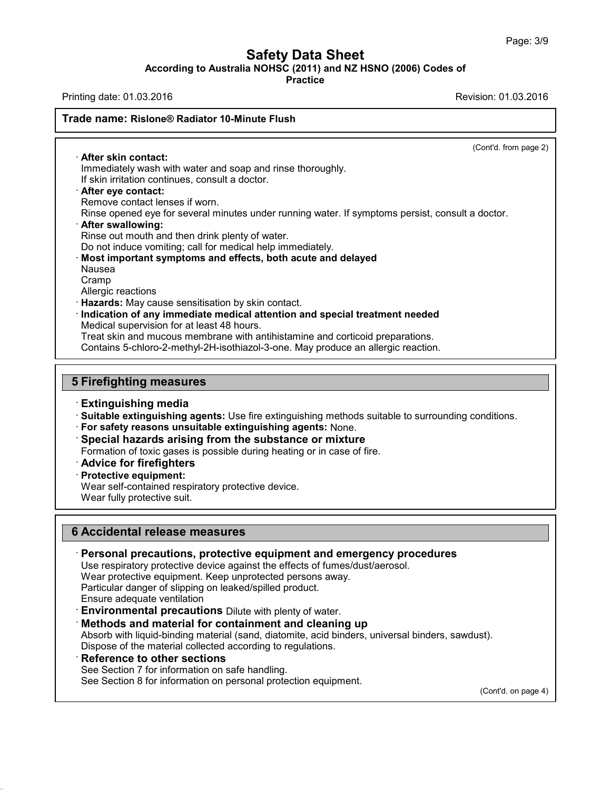# **Safety Data Sheet<br>
A NOHSC (2011) and NZ HSNO (2006) Cod<br>
Practice**

Page: 3/9<br>**According to Australia NOHSC (2011) and NZ HSNO (2006) Codes of**<br>Practice<br>Printing date: 01.03.2016<br>Revision: 01.03.2016 Page: 3/9<br> **Safety Data Sheet**<br>
According to Australia NOHSC (2011) and NZ HSNO (2006) Codes of<br>
Practice<br>
Revision: 01.03.2016<br>
Revision: 01.03.2016<br>
Revision: 01.03.2016

**Practice**

# **Trade name:** According to Australia NOHSC (2011) and N.<br>Printing date: 01.03.2016<br>Trade name: Rislone® Radiator 10-Minute Flush

(Cont'd. from page 2)

Trade name: Rislone® Radiator 10-Minute Flush<br>
After skin contact:<br>
Immediately wash with water and soap and rinse thoroughly.<br>
If skin irritation continues, consult a doctor. Immediately wash with water and soap and rinse thoroughly. **If skin contact:**<br> **If skin irritation continues, consult a doctor.**<br> **If skin irritation continues, consult a doctor.**<br> **Pafter eye contact:**<br>
Remove contact lenses if worn.<br>
Rinse opened eve for several minutes under ru **After eye contact:**<br>Remove contact lenses if worn.<br>Rinse opened eye for several minutes under running water. If symptoms persist, consult a doctor.<br>After swallowing: Refler skin contact:<br>
Immediately wash with water and soap and rinse thoroughly.<br>
If skin irritation continues, consult a doctor.<br> **After eye contact:**<br>
Remove contact lenses if worn.<br>
Rinse opened eye for several minutes If skin irritation continues, consult a doctor.<br>**After eye contact:**<br>Remove contact lenses if worn.<br>Rinse opened eye for several minutes under running water.<br>**After swallowing:**<br>Rinse out mouth and then drink plenty of wat **Example 2018 After eye contact:**<br>
Rinse opened eye for several minutes under running water. If symptoms persi-<br> **After swallowing:**<br> **Rinse out mouth and then drink plenty of water.**<br>
Do not induce vomiting; call for medi Nausea Cramp<br>Allergic reactions Rinse out mouth and then<br>Do not induce vomiting; cal<br>**Most important symptom**<br>Nausea<br>Cramp<br>Allergic reactions<br>**Hazards:** May cause sensi<br>Indication of any immodi **Do not induce vomiting; call for medical help immediately.**<br> **· Most important symptoms and effects, both acute and delayed**<br>
Nausea<br>
Cramp<br> **· Hazards:** May cause sensitisation by skin contact.<br> **· Indication of any imm** Nausea<br>Cramp<br>Allergic reactions<br>**Hazards:** May cause sensitisation by skin contact.<br>**Indication of any immediate medical attention and**<br>Medical supervision for at least 48 hours.<br>Treat skin and mucous membrane with antihis Cramp<br>Allergic reactions<br>**Hazards:** May cause sensitisation by skin contact.<br>**Indication of any immediate medical attention and special treatment needed**<br>Medical supervision for at least 48 hours.<br>Treat skin and mucous mem Allergic reactions<br> **Hazards:** May cause sensitisation by skin contact.<br> **Indication of any immediate medical attention and special treatment needed**<br>
Medical supervision for at least 48 hours.<br>
Treat skin and mucous membr **Indication of any immediate medical Medical supervision for at least 48 hours<br>
Treat skin and mucous membrane with<br>
Contains 5-chloro-2-methyl-2H-isothiazd<br>
5 Firefighting measures<br>
Extinguishing media** · **Extinguishing media 5 Firefighting measures**<br> **Extinguishing media**<br> **Suitable extinguishing agents:** Use fire extinguishing methods suitable to surrounding conditions.<br> **For safety reasons unsuitable extinguishing agents:** None.<br> **Special h** 

Formation of toxic gases: Use fire extinguishing methods suitable to surrour<br>
For safety reasons unsuitable extinguishing agents: None.<br>
Special hazards arising from the substance or mixture<br>
Formation of toxic gases is po

**For safety reasons unsuitable Special hazards arising fr<br>
<b>Protective equipment:**<br> **Protective equipment:**<br> **Protective equipment:**<br>
Wear self-contained respirator<br>
Wear fully protective suit.

For salety reasons unsulable extinguishing agents. None<br>Special hazards arising from the substance or mixtu<br>Formation of toxic gases is possible during heating or in case<br>Advice for firefighters<br>Protective equipment:<br>Wear

Special nazards arising from the s<br>Formation of toxic gases is possible duri<br>**Advice for firefighters**<br>Protective equipment:<br>Wear self-contained respiratory protective<br>Wear fully protective suit.

- 
- 

## **Example 19 Accords**<br> **Frotective equipment:**<br>
Wear self-contained respiratory protective device<br>
Wear fully protective suit.<br> **6 Accidental release measures**<br> **Personal precautions, protective equipm Example 2018**<br> **Example 2018 Accidental release measures**<br> **Personal precautions, protective equipment and emergency procedures**<br>
Use respiratory protective device against the effects of fumes/dust/aerosol.<br>
Wear protecti Accidental release measures<br>Personal precautions, protective equipment and emergency pr<br>Use respiratory protective device against the effects of fumes/dust/aerosol<br>Wear protective equipment. Keep unprotected persons away.<br> Accidental release measures<br>
Personal precautions, protective equipment and emerg<br>
Use respiratory protective device against the effects of fumes/dus<br>
Wear protective equipment. Keep unprotected persons away.<br>
Particular d • **Personal precautions, protective equipment and emergency procedure**<br>Use respiratory protective device against the effects of fumes/dust/aerosol.<br>Wear protective equipment. Keep unprotected persons away.<br>Particular dange

Use respiratory protective device against the effects of fumes/dust/aerosol.<br>
Wear protective equipment. Keep unprotected persons away.<br>
Particular danger of slipping on leaked/spilled product.<br>
Ensure adequate ventilation

Particular dariger of suppling on leaked/spilled product.<br> **Ensure adequate ventilation**<br> **Environmental precautions** Dilute with plenty of water.<br> **Methods and material for containment and cleaning up**<br>
Absorb with liquid

Wear protective equipment. Keep unprotected persons away.<br>
Particular danger of slipping on leaked/spilled product.<br> **Environmental precautions** Dilute with plenty of water.<br> **Methods and material for containment and clean Methods and material for containment and cleaning up**<br>Absorb with liquid-binding material (sand, diatomite, acid binders, univer<br>Dispose of the material collected according to regulations.<br>**Reference to other sections**<br>Se

42.0.18

(Cont'd. on page 4)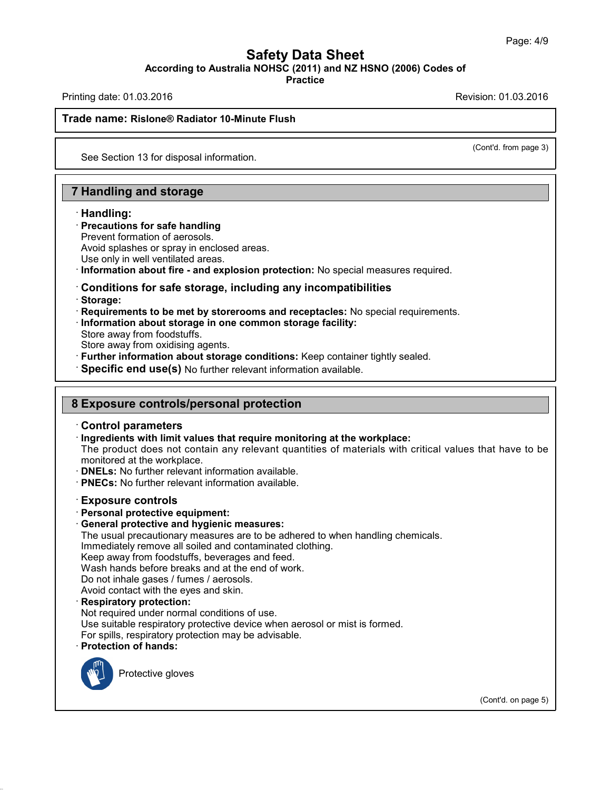## **Safety Data Sheet<br>
A NOHSC (2011) and NZ HSNO (2006) Cod<br>
Practice** Page: 4/9<br>**According to Australia NOHSC (2011) and NZ HSNO (2006) Codes of**<br>Practice<br>Printing date: 01.03.2016<br>Revision: 01.03.2016 Page: 4/9<br> **Safety Data Sheet**<br>
According to Australia NOHSC (2011) and NZ HSNO (2006) Codes of<br>
Practice<br>
Revision: 01.03.2016<br>
Revision: 01.03.2016<br>
Revision: 01.03.2016 **Trade name:** According to Australia NOHSC (2011) and N.<br>Printing date: 01.03.2016<br>Trade name: Rislone® Radiator 10-Minute Flush

**Practice**

(Cont'd. from page 3)

# de name: Rislone® Radiator 10-Minute Flus<br>See Section 13 for disposal information.

See Section 13 for disposal information.<br> **7 Handling and storage<br>
Handling:** 

# **Example 15 Allen Theory Schools Finds**<br>• **Precautions for safe handling**<br>• Prevent formation of aerosols.<br>• Avoid splashes or spray in enclosed areas

### · **Handling:**

**Handling and storage<br>Handling:<br>Precautions for safe handling<br>Prevent formation of aerosols.<br>Avoid splashes or spray in enclosed are<br>Use only in well ventilated areas Handling and storage<br>
Handling:<br>
Precautions for safe handling<br>
Prevent formation of aerosols.<br>
Avoid splashes or spray in enclosed areas.<br>
Use only in well ventilated areas.<br>
Information about fire - and explosion protec** 

## **Example 15**<br> **Example 3**<br> **Example 3**<br> **Example 3**<br> **Example 3**<br> **Example 3**<br> **Information about fire - and explosion protection:** No special measures required.<br> **Conditions for safe storage, including any incompatibiliti** · **Storage:** Use only in well ventilated areas.<br> **Conditions for safe storage, including any incompatibilities**<br> **Conditions for safe storage, including any incompatibilities**<br> **Properties:**<br> **Requirements to be met by storerooms and r Conditions for safe storage, in<br>Storage:<br>Requirements to be met by storer<br>Information about storage in one<br>Store away from oxidising agents.<br>Further information about storage Storage:**<br> **Requirements to be met by storerooms and receptacles:** No special requirements.<br> **Information about storage in one common storage facility:**<br>
Store away from foodstuffs.<br>
Store away from oxidising agents.<br> **Fu**

- 
- 
- 

- Store away from foodstuffs.<br>
Store away from oxidising agents.<br> **Further information about storage conditions:** Keep container tightly sealed.<br> **8 Exposure controls/personal protection**<br> **8 Exposure controls/personal prote**
- 

### **8 Exposure controls/personal protection**

· **Ingredients with limit values that require monitoring at the workplace:** The product does not contain any relevant quantities of materials with critical values that have to be monitored at the workplace.<br>  $\cdot$  DNELs: No further relevant information available. Monitored at the workplace.<br>
• **Control parameters**<br>
• **Ingredients with limit values that require monitoring at**<br>
The product does not contain any relevant quantities of<br>
• **DNELs:** No further relevant information availab

- 
- **PNECs:** No further relevant information available.<br> **Exposure controls**<br> **Personal protective equipment:**<br> **General protective and hygienic measures:** • **DNELs:** No further relevant information available.<br>• **PNECs:** No further relevant information available.<br>• **Exposure controls**<br>• **Personal protective equipment:**<br>• **General protective and hygienic measures:**<br>• The usual

**PNECs:** No further relevant information available.<br> **Exposure controls**<br> **Personal protective equipment:**<br> **General protective and hygienic measures:**<br>
The usual precautionary measures are to be adhered to when handling c Exposure controls<br>Personal protective equipment:<br>General protective and hygienic measures:<br>The usual precautionary measures are to be adhered to when hand<br>Immediately remove all soiled and contaminated clothing.<br>Keep away Exposure controls<br>Personal protective equipment:<br>General protective and hygienic measures:<br>The usual precautionary measures are to be adhered to when<br>Immediately remove all soiled and contaminated clothing.<br>Keep away from **Personal protective equipment:**<br> **General protective and hygienic measures:**<br>
The usual precautionary measures are to be adhered to when hat<br>
Immediately remove all soiled and contaminated clothing.<br>
Keep away from foodst **General protective and hygienic measures:**<br>The usual precautionary measures are to be adh<br>Immediately remove all soiled and contaminated<br>Keep away from foodstuffs, beverages and feed.<br>Wash hands before breaks and at the e

The usual precautionary measures are to be adhere<br>Immediately remove all soiled and contaminated ck<br>Keep away from foodstuffs, beverages and feed.<br>Wash hands before breaks and at the end of work.<br>Do not inhale gases / fume Keep away from foodstuffs, beverages and feed.<br>Wash hands before breaks and at the end of work.<br>Do not inhale gases / fumes / aerosols.<br>Avoid contact with the eyes and skin.<br>**Respiratory protection:**<br>Not required under nor Wash hands before breaks and at the end of work.<br>Do not inhale gases / fumes / aerosols.<br>Avoid contact with the eyes and skin.<br>**Respiratory protection:**<br>Not required under normal conditions of use.<br>Use suitable respiratory For spills, respiratory protection may be advisable.<br> **Respiratory protection:**<br>
Not required under normal conditions of use.<br>
Use suitable respiratory protective device when aerosol or r<br>
For spills, respiratory protectio The direct Homal conditions<br>able respiratory protective devels, respiratory protection may b<br>**on of hands:**<br>Protective gloves



42.0.18

(Cont'd. on page 5)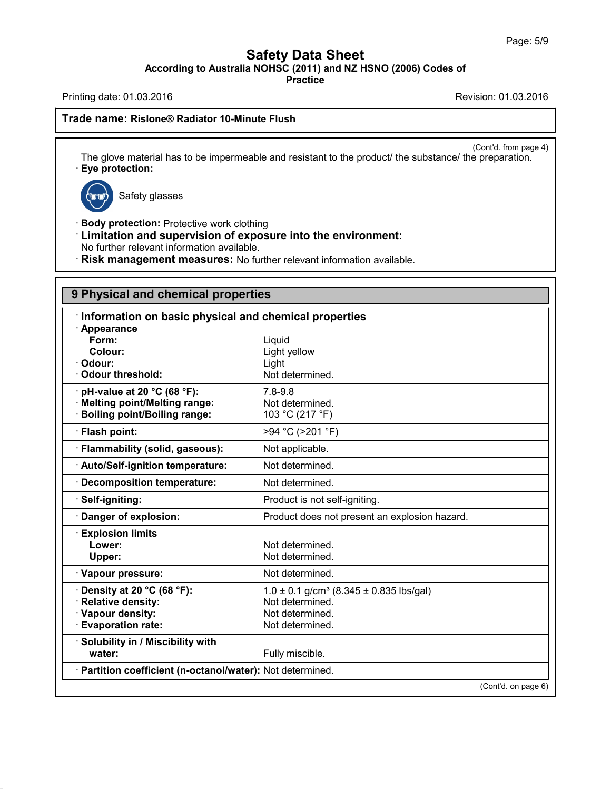## **Safety Data Sheet**<br> **According to Australia NOHSC (2011) and NZ HSNO (2006) Codes of**<br> **Practice** Page: 5/9<br> **Safety Data Sheet**<br>
According to Australia NOHSC (2011) and NZ HSNO (2006) Codes of<br>
Practice<br>
Revision: 01.03.2016<br>
Revision: 01.03.2016<br>
Revision: 01.03.2016

**Practice**

# **Trade name:** According to Australia NOHSC (2011) and N.<br>Printing date: 01.03.2016<br>Trade name: Rislone® Radiator 10-Minute Flush

(Cont'd. from page 4)<br>
Preparation. The glove material has to be impermeable and resistant to the product/ the substance/ the preparation.<br>
The glove material has to be impermeable and resistant to the product/ the substance/ the preparation.<br>  $\bullet$ e material has to be imper<br>tection:<br>Safety glasses



42.0.18

- **Eye protection:**<br>
Safety glasses<br> **Body protection:** Protective work clothing<br> **Limitation and supervision of exposure into t**<br>
No further relevant information available **Example 3**<br> **Example 3**<br> **Example 3**<br> **Limitation and supervision of exposure into the environment:**<br>
No further relevant information available.<br> **Risk management measures:** No further relevant information available. No further relevant information available.<br>• **Risk management measures:** No further relevant information available.<br>• **Risk management measures:** No further relevant information available.
- 

|                                                            | Risk management measures: No further relevant information available. |  |  |  |
|------------------------------------------------------------|----------------------------------------------------------------------|--|--|--|
| 9 Physical and chemical properties                         |                                                                      |  |  |  |
| Information on basic physical and chemical properties      |                                                                      |  |  |  |
| · Appearance<br>Form:                                      | Liquid                                                               |  |  |  |
| Colour:                                                    | Light yellow                                                         |  |  |  |
| Odour:                                                     | Light                                                                |  |  |  |
| <b>Odour threshold:</b>                                    | Not determined.                                                      |  |  |  |
| pH-value at 20 °C (68 °F):                                 | $7.8 - 9.8$                                                          |  |  |  |
| · Melting point/Melting range:                             | Not determined.                                                      |  |  |  |
| <b>Boiling point/Boiling range:</b>                        | 103 °C (217 °F)                                                      |  |  |  |
| · Flash point:                                             | >94 °C (>201 °F)                                                     |  |  |  |
| · Flammability (solid, gaseous):                           | Not applicable.                                                      |  |  |  |
| Auto/Self-ignition temperature:                            | Not determined.                                                      |  |  |  |
| Decomposition temperature:                                 | Not determined.                                                      |  |  |  |
| Self-igniting:                                             | Product is not self-igniting.                                        |  |  |  |
| Danger of explosion:                                       | Product does not present an explosion hazard.                        |  |  |  |
| <b>Explosion limits</b>                                    |                                                                      |  |  |  |
| Lower:                                                     | Not determined.                                                      |  |  |  |
| Upper:                                                     | Not determined.                                                      |  |  |  |
| · Vapour pressure:                                         | Not determined.                                                      |  |  |  |
| Density at 20 °C (68 °F):                                  | $1.0 \pm 0.1$ g/cm <sup>3</sup> (8.345 $\pm$ 0.835 lbs/gal)          |  |  |  |
| <b>Relative density:</b>                                   | Not determined.                                                      |  |  |  |
| · Vapour density:                                          | Not determined.                                                      |  |  |  |
| <b>Evaporation rate:</b>                                   | Not determined.                                                      |  |  |  |
| · Solubility in / Miscibility with                         |                                                                      |  |  |  |
| water:                                                     | Fully miscible.                                                      |  |  |  |
| · Partition coefficient (n-octanol/water): Not determined. |                                                                      |  |  |  |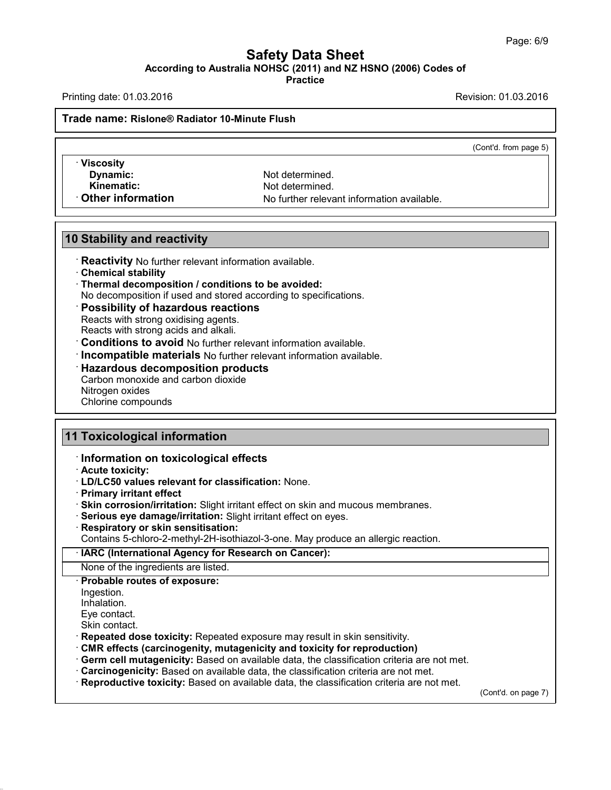## **Safety Data Sheet<br>
A NOHSC (2011) and NZ HSNO (2006) Cod<br>
Practice** Page: 6/9<br>**According to Australia NOHSC (2011) and NZ HSNO (2006) Codes of**<br>Practice<br>Printing date: 01.03.2016<br>Revision: 01.03.2016 Page: 6/9<br> **Safety Data Sheet**<br>
According to Australia NOHSC (2011) and NZ HSNO (2006) Codes of<br>
Practice<br>
Revision: 01.03.2016<br>
Revision: 01.03.2016<br>
Revision: 01.03.2016 **Trade name:** According to Australia NOHSC (2011) and N.<br>Printing date: 01.03.2016<br>Trade name: Rislone® Radiator 10-Minute Flush

**Practice**

(Cont'd. from page 5)

· **Viscosity 10 Dynamic:**<br>
10 Stability and reactivity<br>
10 Stability and reactivity<br>
10 Stability and reactivity<br>
10 Reactivity No further relevant information

**Profile of Adiator 10-Minute Flush<br>
<b>Excessity**<br> **Dynamic:** Not determined.<br> **Kinematic:** Not determined.<br> **Kinematic:** Not determined.<br> **Conservation Kinematic:** Not determined.<br> **Kinematic:** Not determined.<br> **Communical** No further relevant information available.<br> **Communical** No further relevant information available.

- **Calcularyistan Chemical Stability and reactivity<br>
 <b>Reactivity** No further relevant information available.<br>
 **Thermal decomposition / conditions to be avoided:**<br>
 No decomposition if used and stored according to specif
- 
- 
- **Stability and reactivity<br>
· Reactivity No further relevant information available.**<br>
 Chemical stability<br>
 Thermal decomposition / conditions to be avoided:<br>
 No decomposition if used and stored according to specificati **No Stability and reactivity**<br>
• **Reactivity** No further relevant information available.<br>
• **Chemical stability**<br>
• **Thermal decomposition / conditions to be avoided:**<br>
• **No decomposition if used and stored according to**
- 
- 
- 
- 
- 
- Chemical stability<br>
Thermal decomposition / conditions to be avoided:<br>
No decomposition if used and stored according to specifications.<br>
Possibility of hazardous reactions<br>
Reacts with strong oxidising agents.<br>
Reacts with Reacts with strong oxidising agents.<br>Reacts with strong acids and alkali.<br>**Conditions to avoid** No further relevant inform<br>**Incompatible materials** No further relevant inform<br>**Hazardous decomposition products**<br>Carbon monox Conditions to avoid No Homompatible materials<br>Hazardous decompositicarbon monoxide and carbon<br>Nitrogen oxides<br>Chlorine compounds **Conditions to avoid No Reflexed**<br> **Carbon monoxide and carbon**<br>
Nitrogen oxides<br>
Chlorine compounds **11 Toxicological information**<br> **11 Toxicological information**<br> **11 Toxicological information**<br> **11 Toxicological information**

- 
- 

42.0.18

- **Chlorine compounds<br>
Information on toxicological effects<br>
· Information on toxicological effects<br>
· Acute toxicity:<br>
· LD/LC50 values relevant for classification: None. 11 Toxicological information<br>
Information on toxicological effects<br>
Acute toxicity:<br>
LD/LC50 values relevant for classification: None.<br>
Primary irritant effect** 
	-
	- $\cdot$  **Skin corrosion/irritation:** Slight irritant effect on skin and mucous membranes.
	-
	-
	- **EXECT:**<br> **Respiration:**<br> **Skin corrosion/irritation:** Slight irritant effect on skin and mucous membranes.<br> **Primary irritant effect**<br> **Skin corrosion/irritation:** Slight irritant effect on eyes.<br> **Respiratory or skin sen**

### CONTEG TO VALUE TO VALUE TO VALUE TO VALUE TO VALUE TO VALUE TO VALUE TO VALUE TO VALUE TO VALUE TO VALUE TO VALUE TO VALUE TO VALUE TO VALUE TO VALUE TO VALUE TO VALUE TO VALUE TO VALUE TO VALUE TO VALUE TO VALUE TO VALUE **Serious eye damage/irritation:** Slight irritant effect on eyes.<br> **Respiratory or skin sensitisation:**<br>
Contains 5-chloro-2-methyl-2H-isothiazol-3-one. May produce an allergic reaction.<br> **IARC (International Agency for Res** Ingestion. Inhalation.<br>Eve contact. None of the ingredients are listed.<br> **Probable routes of exposure:**<br>
Ingestion.<br>
Inhalation.<br>
Eye contact.<br>
Skin contact.<br> **Repeated dose toxicity:** Repeated exposure may result in skin sensitivity. Shorte of the ingredients are listed.<br> **Probable routes of exposure:**<br>
Inhalation.<br>
Eye contact.<br>
Skin contact.<br> **Repeated dose toxicity:** Repeated exposure may result in skin sensitivity.<br> **CMR effects (carcinogenity, mut** Inhalation.<br>
Eye contact.<br>
Skin contact.<br> **Repeated dose toxicity:** Repeated exposure may result in skin sensitivity.<br> **CMR effects (carcinogenity, mutagenicity and toxicity for reproduction)**<br> **CGMR effects (carcinogenity** (Cont'd. on page 7)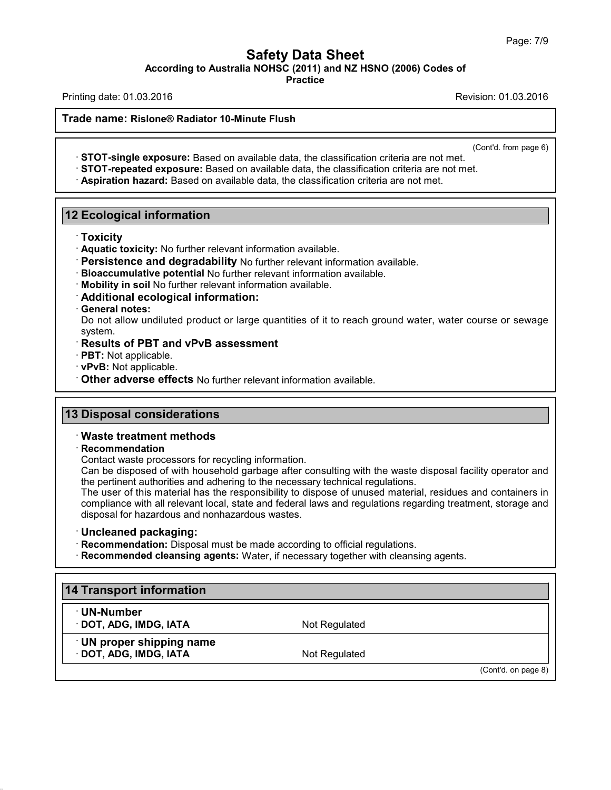## **Safety Data Sheet<br>
A NOHSC (2011) and NZ HSNO (2006) Cod<br>
Practice** Page: 7/9<br>**According to Australia NOHSC (2011) and NZ HSNO (2006) Codes of**<br>Practice<br>Printing date: 01.03.2016<br>Revision: 01.03.2016 Page: 7/9<br> **Safety Data Sheet**<br>
According to Australia NOHSC (2011) and NZ HSNO (2006) Codes of<br>
Practice<br>
Revision: 01.03.2016<br>
Revision: 01.03.2016<br>
Revision: 01.03.2016 **Trade name:** According to Australia NOHSC (2011) and N.<br>Printing date: 01.03.2016<br>Trade name: Rislone® Radiator 10-Minute Flush

**Practice**

(Cont'd. from page 6)

Analysisch: 01:00:2016<br>
Analysisch: 01:00:2016<br>
STOT-single exposure: Based on available data, the classification criteria are not met.<br>
STOT-repeated exposure: Based on available data, the classification criteria are not **12 Ecological information**<br> **12 Ecological information**<br> **12 Ecological information**<br> **12 Ecological information**<br> **12 Ecological information**<br> **12 Ecological information**<br> **13 Ecological information**<br> **14 Ecological info** 

· **Toxicity**

- 
- **Persistence and degradability** No further relevant information available.<br> **Bioaccumulative potential** No further relevant information available.<br> **Mobility in soil** No further relevant information available.<br> **Additional**
- 
- 
- 

Priori Contains and Contains and Contains and Contains and Contains and Contains and Contains and Contains and the presistence and degradability No further relevant information available.<br>
Persistence and degradability No Persistence and degradability No further relevant information available.<br>Bioaccumulative potential No further relevant information available.<br>Mobility in soil No further relevant information available.<br>Additional ecologica system. **Example 12 Solutional ecological information avaid Additional ecological information:**<br> **Constrained Solutional ecological information:**<br>
Do not allow undiluted product or large quantities<br>
system.<br> **Results of PBT and vP** • **PRT:** Not applicable. • **PPT:** Not applicable. • **PPT:** Not applicable. • **PPT:** Not applicable. • **PPT:** Not applicable. • **PPT:** Not applicable. • **PPT:** Not applicable. • **PPT:** Not applicable. • **PPT:** Not applicabl

- 
- 
- **13 Disposal considerations**<br> **13 Disposal considerations**<br> **13 Disposal considerations**<br> **13 Disposal considerations**<br> **13 Disposal considerations** • Other adverse effects No further relevant information available.<br>
13 Disposal considerations<br>
• Waste treatment methods<br>
• Recommendation<br>
Contact waste processors for recycling information.

### · **Recommendation**

**Disposal considerations<br>Waste treatment methods<br>Recommendation**<br>Contact waste processors for recycling information.<br>Can be disposed of with household garbage after consult<br>the pertinent authorities and adhering to the pec **Disposal considerations**<br> **Waste treatment methods**<br>
Recommendation<br>
Contact waste processors for recycling information.<br>
Can be disposed of with household garbage after consulting with the waste disposal facility operato Waste treatment methods<br>
Recommendation<br>
Contact waste processors for recycling information.<br>
Can be disposed of with household garbage after consulting with the waste dispos<br>
the pertinent authorities and adhering to the

Waste treatment methods<br>
Recommendation<br>
Contact waste processors for recycling information.<br>
Can be disposed of with household garbage after consulting with the waste disposal facility operator and<br>
the pertinent authorit Recommendation<br>Contact waste processors for recycling information.<br>Can be disposed of with household garbage after consulting with the waste disposal facility operator and<br>the pertinent authorities and adhering to the nece Contact waste processors for recycling information.<br>Can be disposed of with household garbage after consulting<br>the pertinent authorities and adhering to the necessary technic<br>The user of this material has the responsibilit The user of this material has the responsibility to dispose of unused material, residues and contain compliance with all relevant local, state and federal laws and regulations regarding treatment, storal disposal for hazar

**14 Transport information: Disposal must be matrice information: Disposal must be matrice information<br>14 Transport information<br>14 Transport information<br>19 UN-Number** 

42.0.18

· **UN-Number**

**Fanal Conduct Server Conduct Server Conduct Server Conduct Server Conduct Server Conduct Server Conduct Server Conduct Server Conduct Server Conduct Server Conduct Server Conduct Server Conduct Server Conduct Server Condu Transport information<br>- UN-Number<br>- DOT, ADG, IMDG, IATA<br>- UN proper shipping name<br>- DOT, ADG, IMDG, IATA CONTRET CONTRET CONTRET CONTRET CONTRET CONTRET CONTRET CONTRET CONTRET CONTRET CONTRET CONTRET CONTRET CONTRET CONTRET CONTRET CONTRET CONTRET CONTRET CONTRET CONTRET CONTRET CONTRET CONTRET CONTRET CONTRET CONTRET CONTR** 

(Cont'd. on page 8)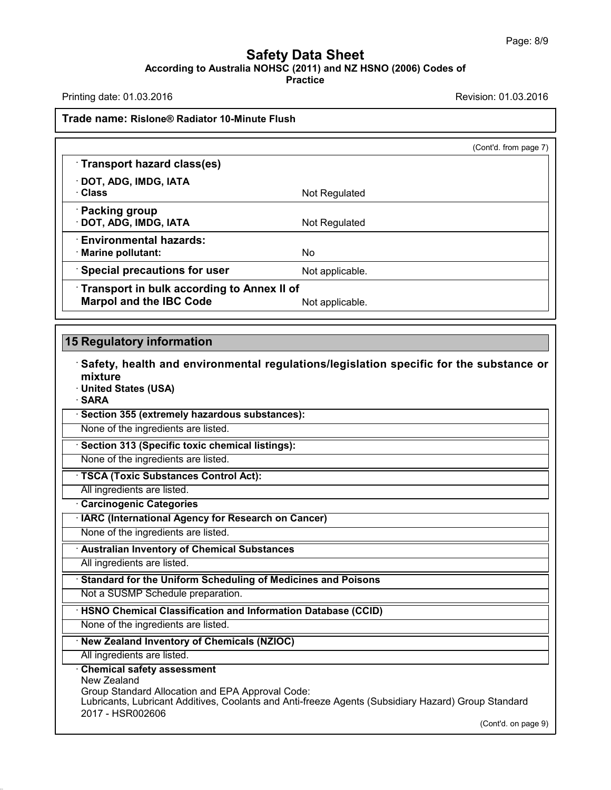## **Safety Data Sheet<br>
A NOHSC (2011) and NZ HSNO (2006) Cod<br>
Practice** Page: 8/9<br>**According to Australia NOHSC (2011) and NZ HSNO (2006) Codes of**<br>Practice<br>Printing date: 01.03.2016<br>Revision: 01.03.2016 Page: 8/9<br> **Safety Data Sheet**<br>
According to Australia NOHSC (2011) and NZ HSNO (2006) Codes of<br>
Practice<br>
Revision: 01.03.2016<br>
Revision: 01.03.2016<br>
Revision: 01.03.2016

**Practice**

# **Trade name:** According to Australia NOHSC (2011) and N.<br>Printing date: 01.03.2016<br>Trade name: Rislone® Radiator 10-Minute Flush

|                                                       |                 | (Cont'd. from page 7) |
|-------------------------------------------------------|-----------------|-----------------------|
| $\cdot$ Transport hazard class(es)                    |                 |                       |
| · DOT, ADG, IMDG, IATA<br>· Class                     | Not Regulated   |                       |
| · Packing group<br>DOT, ADG, IMDG, IATA               | Not Regulated   |                       |
| $\cdot$ Environmental hazards:<br>· Marine pollutant: | No.             |                       |
| $\cdot$ Special precautions for user                  | Not applicable. |                       |
| Transport in bulk according to Annex II of            |                 |                       |
| <b>Marpol and the IBC Code</b>                        | Not applicable. |                       |
| 15 Regulatory information                             |                 |                       |

**• Safety, health and environmental regulations/legislation specific for the substance or**<br>
■ Safety, health and environmental regulations/legislation specific for the substance or<br>
■ United States (USA) mixture<br>· United States (USA) **15 Regulatory information<br>
· Safety, health and environmental regulati<br>
mixture<br>
· United States (USA)<br>
<u>· SARA<br>
· Section 355 (extremely hazardous substances)</u>:** • **Safety, health and environmental regulations/**<br>• United States (USA)<br>• **SARA**<br>• Section 355 (extremely hazardous substances):<br>None of the ingredients are listed. Mixture<br>
United States (USA)<br>
SARA<br>
Section 355 (extremely hazardous substances):<br>
None of the ingredients are listed.<br>
None of the ingredients are listed.

· **SARA**

**SARA**<br> **Example 5 Section 355 (extremely hazardous substances):**<br>
None of the ingredients are listed.<br> **None of the ingredients are listed.**<br> **TSCA (Toxic Substances Control Act):**<br>
All ingredients are listed. **Example 313 (Specific toxic chemical index 313 (Specific toxic chemical None of the ingredients are listed.**<br>• **TSCA (Toxic Substances Control A** All ingredients are listed.<br>• **Carcinogenic Categories · IARC (Internationa** 

**FISCA (Toxic Substances Control Act):**<br>
All ingredients are listed.<br> **Carcinogenic Categories**<br> **IARC (International Agency for Research on Cancer)**<br>
None of the ingredients are listed. **Roam Cone of the ingredients are listed.**<br> **All ingredients are listed.**<br> **Carcinogenic Categories**<br> **IARC (International Agency for Research on Cancer)**<br>
None of the ingredients are listed.<br> **Australian Inventory of Chem** 

**All ingredients are listed.**<br> **All ingredients are listed.**<br> **All ingredients are listed.**<br> **All ingredients are listed.**<br> **All ingredients are listed.**<br> **Constrained For the Uniform Scheduling of Medicines and Poisons**<br> • **Canadard for the Uniform Scheduling of Medicines and<br>
Not a SUSMP Schedule preparation.**<br>
• **HSNO Chemical Classification and Information Databas**<br>
• None of the ingredients are listed.<br>
• New Zealand Inventory of Chem

## Note of the Ingreduction are listed.<br> **All ingredients are listed.**<br> **Consider Standard for the Uniform Scheduling of Medicines and Poisons**<br>
Not a SUSMP Schedule preparation.<br> **HSNO Chemical Classification and Information** Not a SUSMP Schedule preparation.<br>
HSNO Chemical Classification and Information Database (CCID)<br>
None of the ingredients are listed.<br>
New Zealand Inventory of Chemicals (NZIOC)<br>
All ingredients are listed.

42.0.18

### · **Chemical safety assessment**

New Zealand Group Standard Allocation and EPA Approval Code: Lubricants, Lubricant Additives, Coolants and Anti-freeze Agents (Subsidiary Hazard) Group Standard 2017 - HSR002606 p Standard<br>(Cont'd. on page 9)